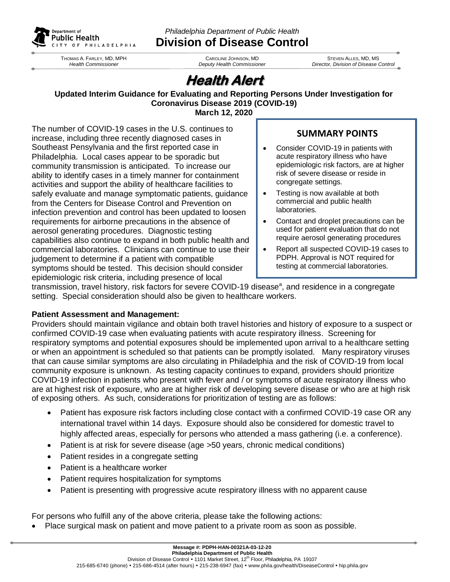

THOMAS A. FARLEY, MD, MPH *Health Commissioner*

*Philadelphia Department of Public Health* **Division of Disease Control**

> CAROLINE JOHNSON, MD *Deputy Health Commissioner*

STEVEN ALLES, MD, MS *Director, Division of Disease Control*

# **Health Alert**

#### **Updated Interim Guidance for Evaluating and Reporting Persons Under Investigation for Coronavirus Disease 2019 (COVID-19) March 12, 2020**

The number of COVID-19 cases in the U.S. continues to increase, including three recently diagnosed cases in Southeast Pensylvania and the first reported case in Philadelphia. Local cases appear to be sporadic but community transmission is anticipated. To increase our ability to identify cases in a timely manner for containment activities and support the ability of healthcare facilities to safely evaluate and manage symptomatic patients, guidance from the Centers for Disease Control and Prevention on infection prevention and control has been updated to loosen requirements for airborne precautions in the absence of aerosol generating procedures. Diagnostic testing capabilities also continue to expand in both public health and commercial laboratories. Clinicians can continue to use their judgement to determine if a patient with compatible symptoms should be tested. This decision should consider epidemiologic risk criteria, including presence of local

## **SUMMARY POINTS**

- Consider COVID-19 in patients with acute respiratory illness who have epidemiologic risk factors, are at higher risk of severe disease or reside in congregate settings.
- Testing is now available at both commercial and public health laboratories.
- Contact and droplet precautions can be used for patient evaluation that do not require aerosol generating procedures
- Report all suspected COVID-19 cases to PDPH. Approval is NOT required for testing at commercial laboratories.

transmission, travel history, risk factors for severe COVID-19 disease<sup>a</sup>, and residence in a congregate setting. Special consideration should also be given to healthcare workers.

## **Patient Assessment and Management:**

Providers should maintain vigilance and obtain both travel histories and history of exposure to a suspect or confirmed COVID-19 case when evaluating patients with acute respiratory illness. Screening for respiratory symptoms and potential exposures should be implemented upon arrival to a healthcare setting or when an appointment is scheduled so that patients can be promptly isolated. Many respiratory viruses that can cause similar symptoms are also circulating in Philadelphia and the risk of COVID-19 from local community exposure is unknown. As testing capacity continues to expand, providers should prioritize COVID-19 infection in patients who present with fever and / or symptoms of acute respiratory illness who are at highest risk of exposure, who are at higher risk of developing severe disease or who are at high risk of exposing others. As such, considerations for prioritization of testing are as follows:

- Patient has exposure risk factors including close contact with a confirmed COVID-19 case OR any international travel within 14 days. Exposure should also be considered for domestic travel to highly affected areas, especially for persons who attended a mass gathering (i.e. a conference).
- Patient is at risk for severe disease (age >50 years, chronic medical conditions)
- Patient resides in a congregate setting
- Patient is a healthcare worker
- Patient requires hospitalization for symptoms
- Patient is presenting with progressive acute respiratory illness with no apparent cause

For persons who fulfill any of the above criteria, please take the following actions:

Place surgical mask on patient and move patient to a private room as soon as possible.